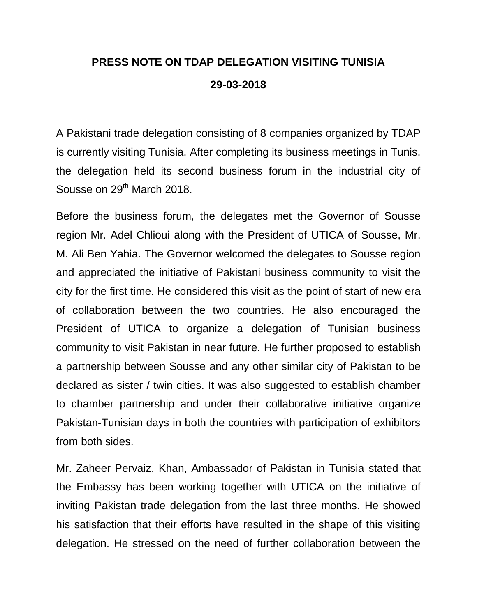## **PRESS NOTE ON TDAP DELEGATION VISITING TUNISIA 29-03-2018**

A Pakistani trade delegation consisting of 8 companies organized by TDAP is currently visiting Tunisia. After completing its business meetings in Tunis, the delegation held its second business forum in the industrial city of Sousse on 29<sup>th</sup> March 2018.

Before the business forum, the delegates met the Governor of Sousse region Mr. Adel Chlioui along with the President of UTICA of Sousse, Mr. M. Ali Ben Yahia. The Governor welcomed the delegates to Sousse region and appreciated the initiative of Pakistani business community to visit the city for the first time. He considered this visit as the point of start of new era of collaboration between the two countries. He also encouraged the President of UTICA to organize a delegation of Tunisian business community to visit Pakistan in near future. He further proposed to establish a partnership between Sousse and any other similar city of Pakistan to be declared as sister / twin cities. It was also suggested to establish chamber to chamber partnership and under their collaborative initiative organize Pakistan-Tunisian days in both the countries with participation of exhibitors from both sides.

Mr. Zaheer Pervaiz, Khan, Ambassador of Pakistan in Tunisia stated that the Embassy has been working together with UTICA on the initiative of inviting Pakistan trade delegation from the last three months. He showed his satisfaction that their efforts have resulted in the shape of this visiting delegation. He stressed on the need of further collaboration between the